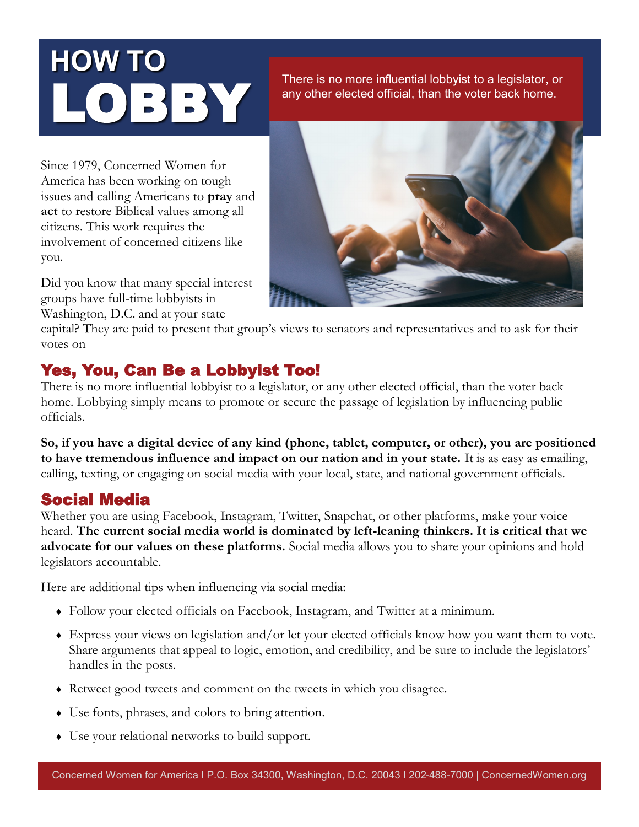# **HOW TO**  LOBBY

There is no more influential lobbyist to a legislator, or any other elected official, than the voter back home.

Since 1979, Concerned Women for America has been working on tough issues and calling Americans to **pray** and **act** to restore Biblical values among all citizens. This work requires the involvement of concerned citizens like you.

Did you know that many special interest groups have full-time lobbyists in Washington, D.C. and at your state



capital? They are paid to present that group's views to senators and representatives and to ask for their votes on

# Yes, You, Can Be a Lobbyist Too!

There is no more influential lobbyist to a legislator, or any other elected official, than the voter back home. Lobbying simply means to promote or secure the passage of legislation by influencing public officials.

**So, if you have a digital device of any kind (phone, tablet, computer, or other), you are positioned to have tremendous influence and impact on our nation and in your state.** It is as easy as emailing, calling, texting, or engaging on social media with your local, state, and national government officials.

# Social Media

Whether you are using Facebook, Instagram, Twitter, Snapchat, or other platforms, make your voice heard. **The current social media world is dominated by left-leaning thinkers. It is critical that we advocate for our values on these platforms.** Social media allows you to share your opinions and hold legislators accountable.

Here are additional tips when influencing via social media:

- Follow your elected officials on Facebook, Instagram, and Twitter at a minimum.
- Express your views on legislation and/or let your elected officials know how you want them to vote. Share arguments that appeal to logic, emotion, and credibility, and be sure to include the legislators' handles in the posts.
- Retweet good tweets and comment on the tweets in which you disagree.
- Use fonts, phrases, and colors to bring attention.
- Use your relational networks to build support.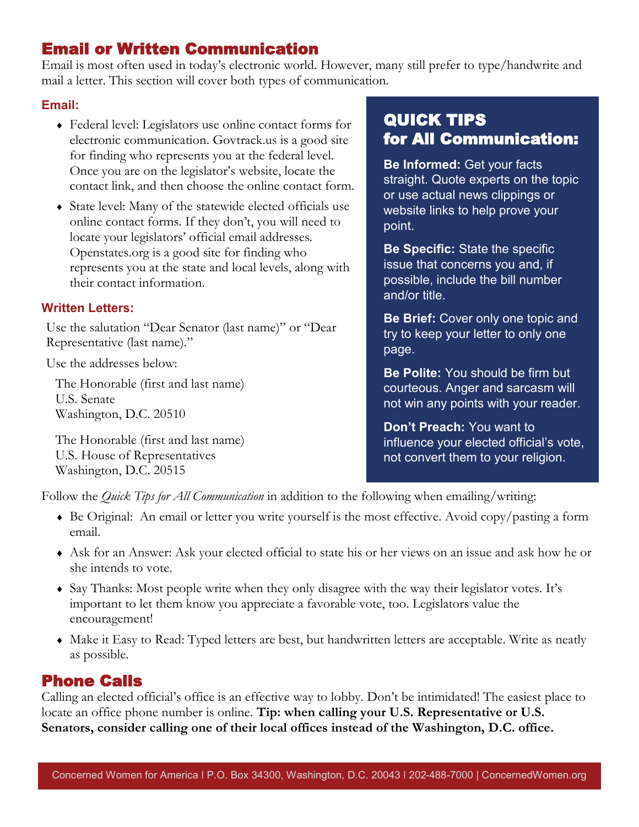# Email or Written Communication

Email is most often used in today's electronic world. However, many still prefer to type/handwrite and mail a letter. This section will cover both types of communication.

#### **Email:**

- Federal level: Legislators use online contact forms for electronic communication. Govtrack.us is a good site for finding who represents you at the federal level. Once you are on the legislator's website, locate the contact link, and then choose the online contact form.
- State level: Many of the statewide elected officials use online contact forms. If they don't, you will need to locate your legislators' official email addresses. Openstates.org is a good site for finding who represents you at the state and local levels, along with their contact information.

#### **Written Letters:**

Use the salutation "Dear Senator (last name)" or "Dear Representative (last name)."

Use the addresses below:

The Honorable (first and last name) U.S. Senate Washington, D.C. 20510

The Honorable (first and last name) U.S. House of Representatives Washington, D.C. 20515

# QUICK TIPS for All Communication:

**Be Informed:** Get your facts straight. Quote experts on the topic or use actual news clippings or website links to help prove your point.

**Be Specific:** State the specific issue that concerns you and, if possible, include the bill number and/or title.

**Be Brief:** Cover only one topic and try to keep your letter to only one page.

**Be Polite:** You should be firm but courteous. Anger and sarcasm will not win any points with your reader.

**Don't Preach:** You want to influence your elected official's vote, not convert them to your religion.

Follow the *Quick Tips for All Communication* in addition to the following when emailing/writing:

- Be Original: An email or letter you write yourself is the most effective. Avoid copy/pasting a form email.
- Ask for an Answer: Ask your elected official to state his or her views on an issue and ask how he or she intends to vote.
- Say Thanks: Most people write when they only disagree with the way their legislator votes. It's important to let them know you appreciate a favorable vote, too. Legislators value the encouragement!
- Make it Easy to Read: Typed letters are best, but handwritten letters are acceptable. Write as neatly as possible.

## Phone Calls

Calling an elected official's office is an effective way to lobby. Don't be intimidated! The easiest place to locate an office phone number is online. **Tip: when calling your U.S. Representative or U.S. Senators, consider calling one of their local offices instead of the Washington, D.C. office.**